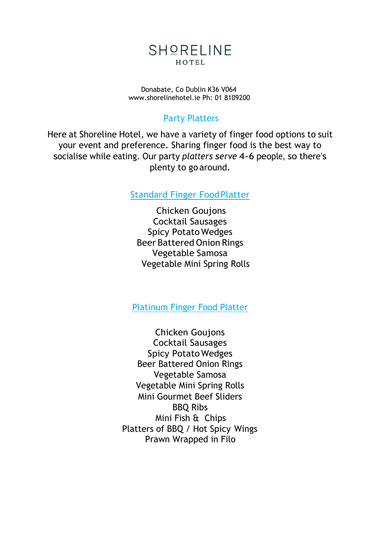

Donabate, Co Dublin K36 V064 [www.shorelinehotel.ie](http://www.shorelinehotel.ie/) Ph: 01 8109200

## Party Platters

Here at Shoreline Hotel, we have a variety of finger food options to suit your event and preference. Sharing finger food is the best way to socialise while eating. Our party *platters serve* 4-6 people, so there's plenty to go around.

Standard Finger FoodPlatter

Chicken Goujons Cocktail Sausages Spicy Potato Wedges Beer Battered Onion Rings Vegetable Samosa Vegetable Mini Spring Rolls

Platinum Finger Food Platter

Chicken Goujons Cocktail Sausages Spicy Potato Wedges Beer Battered Onion Rings Vegetable Samosa Vegetable Mini Spring Rolls Mini Gourmet Beef Sliders BBQ Ribs Mini Fish & Chips Platters of BBQ / Hot Spicy Wings Prawn Wrapped in Filo